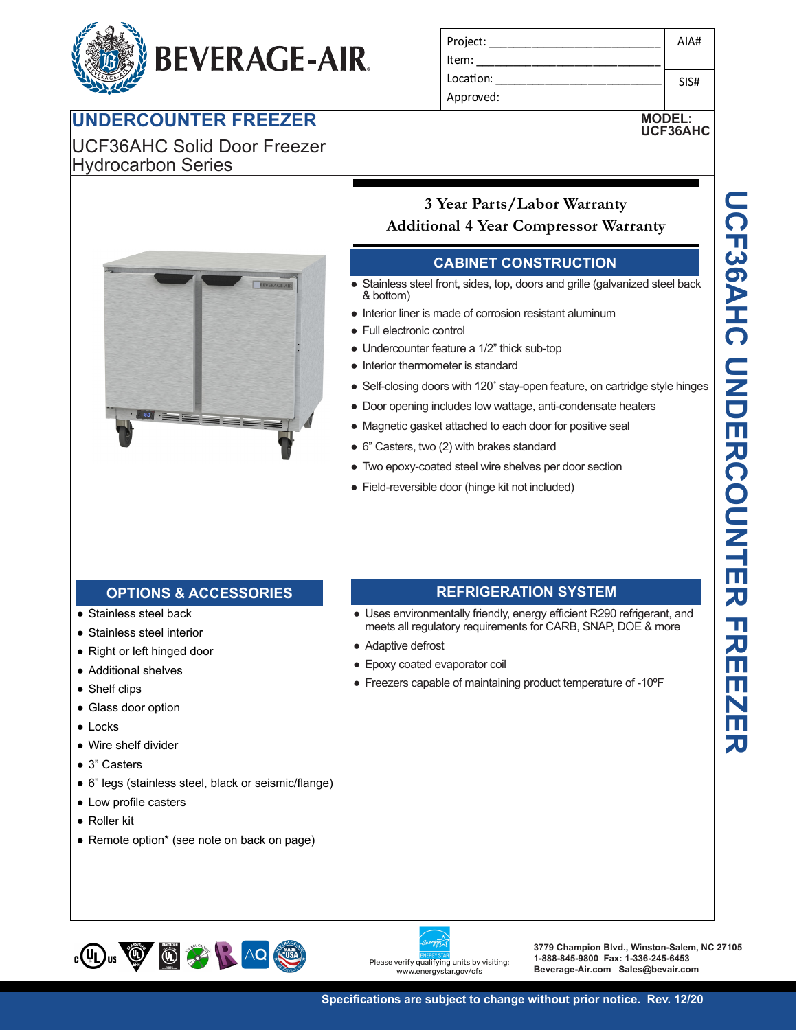# **BEVERAGE-AIR.**

## **UNDERCOUNTER FREEZER**

UCF36AHC Solid Door Freezer Hydrocarbon Series

| Project:  | AIA# |
|-----------|------|
| Item:     |      |
| Location: | SIS# |
| Approved: |      |

**MODEL:**



## **3 Year Parts/Labor Warranty Additional 4 Year Compressor Warranty**

#### **CABINET CONSTRUCTION**

- ervice  $\alpha$  bottom) • Stainless steel front, sides, top, doors and grille (galvanized steel back
- Item: linerior liner is made of corrosion resistant aluminum
- Full electronic control
- Pair sissa ship sena si
- **MODELS: MT49-19 Interior thermometer is standard** 
	- Self-closing doors with 120° stay-open feature, on cartridge style hinges
	- Door opening includes low wattage, anti-condensate heaters
	- **3 Year Parts/Labor Warranty** ● Magnetic gasket attached to each door for positive seal
- 6<sup>"</sup> Casters, two (2) with brakes standard
	- Two epoxy-coated steel wire shelves per door section
	- Field-reversible door (hinge kit not included)

### feature outside **OPTIONS & ACCESSORIES REFRIGERATION SYSTEM**

- Stainless steel back
- Stainless steel interior
- Right or left hinged door
- Additional shelves
- Shelf clips
- Glass door option
- Locks
- Wire shelf divider ● Wire shelf divider<br>● 3" Casters
- 3" Casters
- 3" Casters ● 6" legs (stainless steel, black or seismic/flange) or seismic/liange)<br>
environmental
- $\bullet$  Low profile casters
- Roller kit
	- Remote option\* (see note on back on page)

#### **REFRIGERATION SYSTEM**

- ge, a<br>anda<br>Ives<br>tinc<br>TIO<br>ergy<br>s for<br>proc that is the Uses environmentally friendly, energy efficient R290 refrigerant, and & bottom)<br>
• Interior liner is made of corrosion resise<br>
• Undercounter feature a 1/2" thick sub<br>
• Interior thermometer is standard<br>
• Self-closing doors with 120' stay-ope<br>
• Door opening includes low wattage, a<br>
• Magne meets all regulatory requirements for CARB, SNAP, DOE & more
- Adaptive defrost
	- Epoxy coated evaporator coil
- Whisper quiet references and the contract references and the contract references of  $\mathcal{L}_1$ system and the control of the control of the control of the control of the control of the control of the control of ● Freezers capable of maintaining product temperature of -10ºF





**3779 Champion Blvd., Winston-Salem, NC 27105 1-888-845-9800 Fax: 1-336-245-6453 Beverage-Air.com Sales@bevair.com**